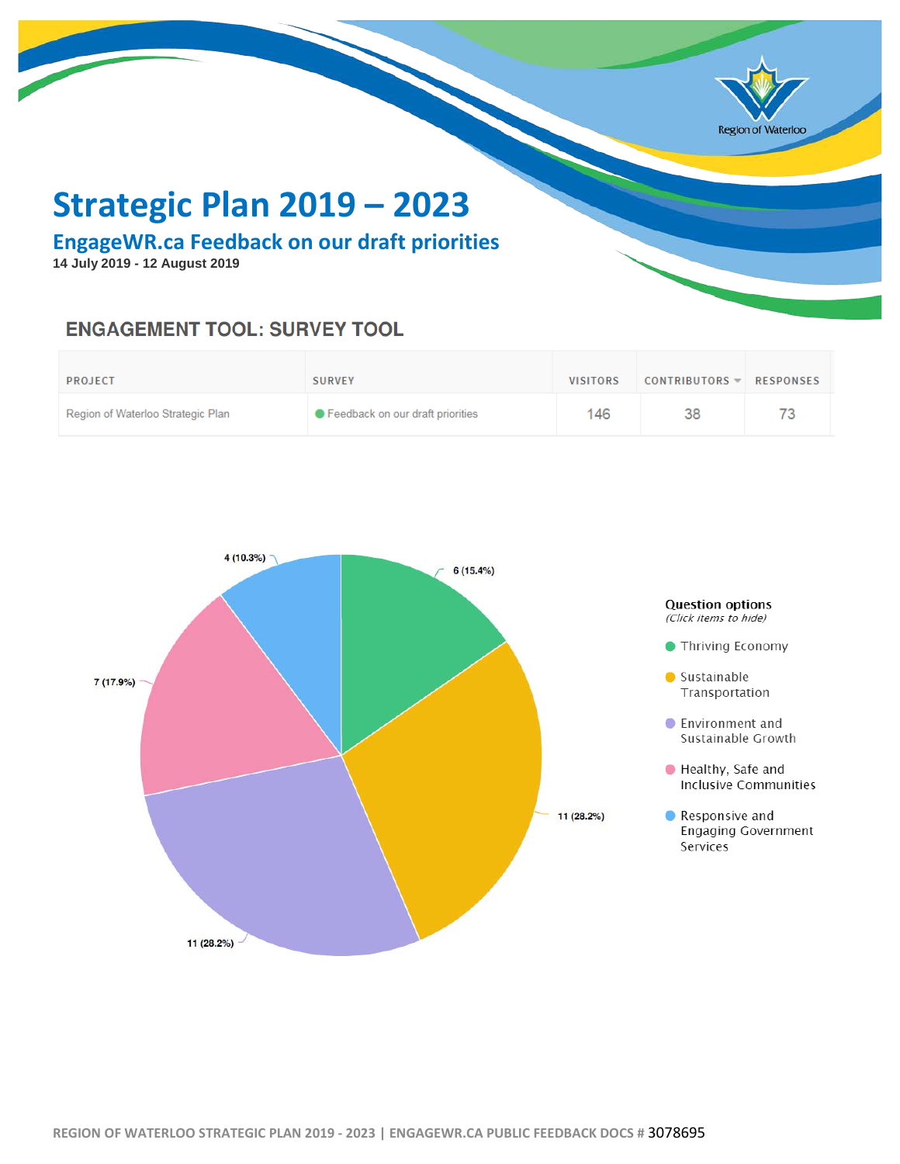

# **Strategic Plan 2019 – 2023**

**EngageWR.ca Feedback on our draft priorities**

**14 July 2019 - 12 August 2019**

## **ENGAGEMENT TOOL: SURVEY TOOL**

| <b>PROJECT</b>                    | <b>SURVEY</b>                      | <b>VISITORS</b> | CONTRIBUTORS $\blacktriangledown$ | RESPONSES |
|-----------------------------------|------------------------------------|-----------------|-----------------------------------|-----------|
| Region of Waterloo Strategic Plan | ● Feedback on our draft priorities | 146             | 38                                | 73        |

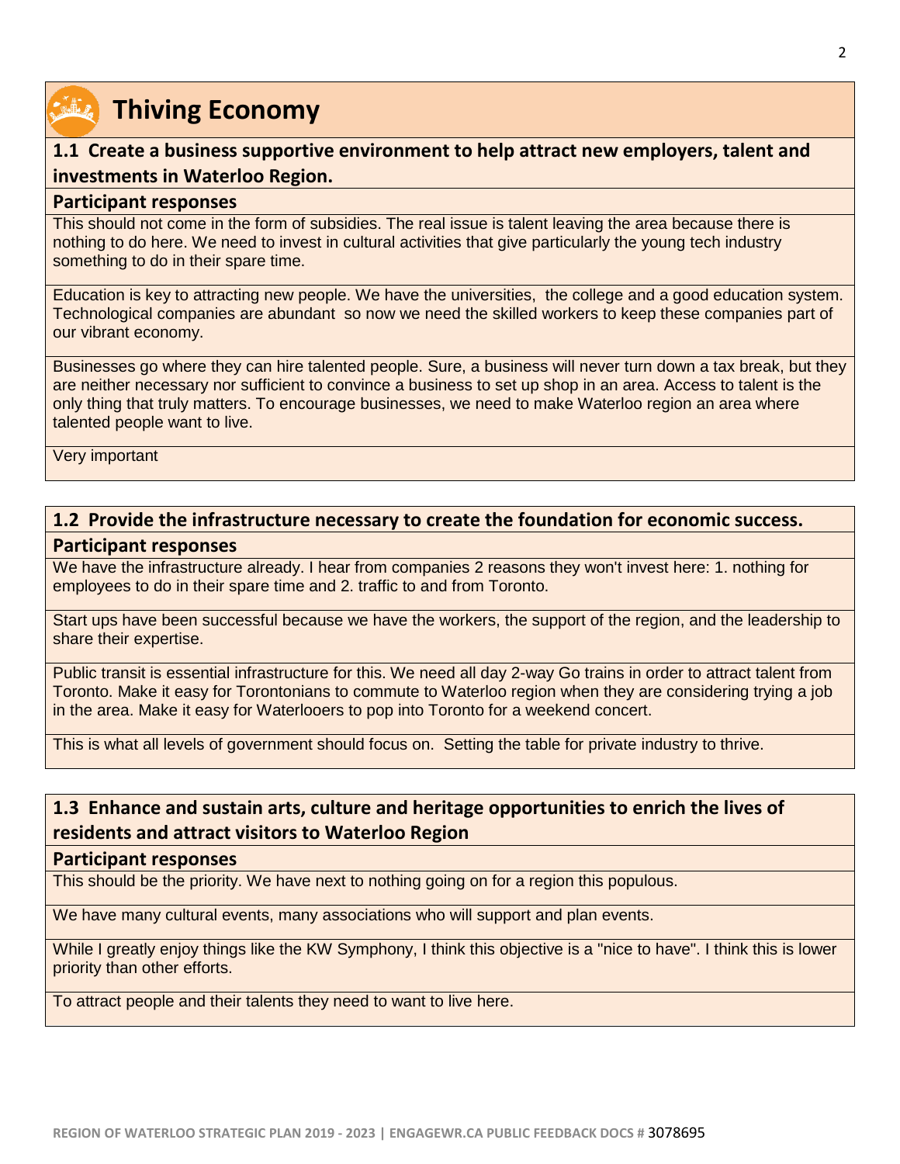

## **1.1 Create a business supportive environment to help attract new employers, talent and investments in Waterloo Region.**

#### **Participant responses**

This should not come in the form of subsidies. The real issue is talent leaving the area because there is nothing to do here. We need to invest in cultural activities that give particularly the young tech industry something to do in their spare time.

Education is key to attracting new people. We have the universities, the college and a good education system. Technological companies are abundant so now we need the skilled workers to keep these companies part of our vibrant economy.

Businesses go where they can hire talented people. Sure, a business will never turn down a tax break, but they are neither necessary nor sufficient to convince a business to set up shop in an area. Access to talent is the only thing that truly matters. To encourage businesses, we need to make Waterloo region an area where talented people want to live.

Very important

## **1.2 Provide the infrastructure necessary to create the foundation for economic success.**

#### **Participant responses**

We have the infrastructure already. I hear from companies 2 reasons they won't invest here: 1. nothing for employees to do in their spare time and 2. traffic to and from Toronto.

Start ups have been successful because we have the workers, the support of the region, and the leadership to share their expertise.

Public transit is essential infrastructure for this. We need all day 2-way Go trains in order to attract talent from Toronto. Make it easy for Torontonians to commute to Waterloo region when they are considering trying a job in the area. Make it easy for Waterlooers to pop into Toronto for a weekend concert.

This is what all levels of government should focus on. Setting the table for private industry to thrive.

## **1.3 Enhance and sustain arts, culture and heritage opportunities to enrich the lives of residents and attract visitors to Waterloo Region**

#### **Participant responses**

This should be the priority. We have next to nothing going on for a region this populous.

We have many cultural events, many associations who will support and plan events.

While I greatly enjoy things like the KW Symphony, I think this objective is a "nice to have". I think this is lower priority than other efforts.

To attract people and their talents they need to want to live here.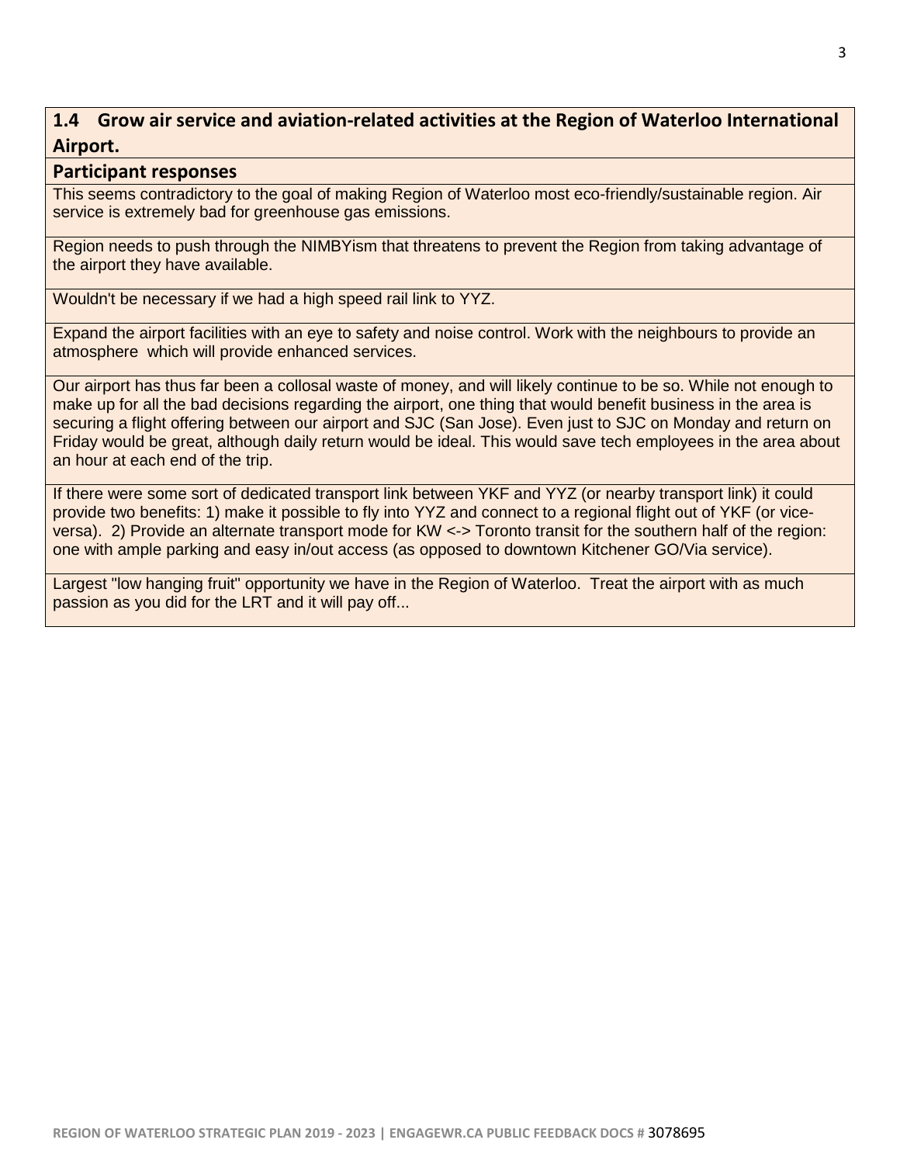## **1.4 Grow air service and aviation-related activities at the Region of Waterloo International Airport.**

#### **Participant responses**

This seems contradictory to the goal of making Region of Waterloo most eco-friendly/sustainable region. Air service is extremely bad for greenhouse gas emissions.

Region needs to push through the NIMBYism that threatens to prevent the Region from taking advantage of the airport they have available.

Wouldn't be necessary if we had a high speed rail link to YYZ.

Expand the airport facilities with an eye to safety and noise control. Work with the neighbours to provide an atmosphere which will provide enhanced services.

Our airport has thus far been a collosal waste of money, and will likely continue to be so. While not enough to make up for all the bad decisions regarding the airport, one thing that would benefit business in the area is securing a flight offering between our airport and SJC (San Jose). Even just to SJC on Monday and return on Friday would be great, although daily return would be ideal. This would save tech employees in the area about an hour at each end of the trip.

If there were some sort of dedicated transport link between YKF and YYZ (or nearby transport link) it could provide two benefits: 1) make it possible to fly into YYZ and connect to a regional flight out of YKF (or viceversa). 2) Provide an alternate transport mode for KW <-> Toronto transit for the southern half of the region: one with ample parking and easy in/out access (as opposed to downtown Kitchener GO/Via service).

Largest "low hanging fruit" opportunity we have in the Region of Waterloo. Treat the airport with as much passion as you did for the LRT and it will pay off...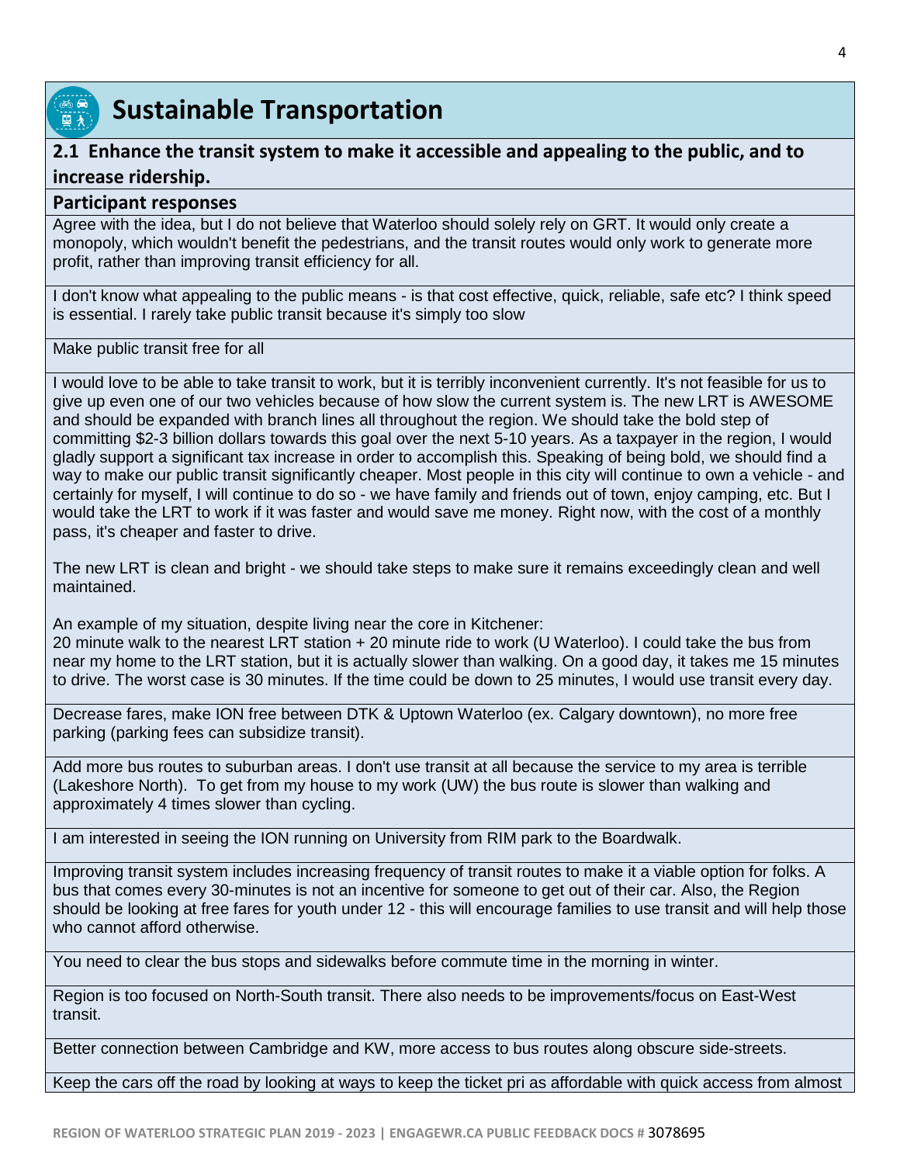

## **Sustainable Transportation**

## **2.1 Enhance the transit system to make it accessible and appealing to the public, and to increase ridership.**

#### **Participant responses**

Agree with the idea, but I do not believe that Waterloo should solely rely on GRT. It would only create a monopoly, which wouldn't benefit the pedestrians, and the transit routes would only work to generate more profit, rather than improving transit efficiency for all.

I don't know what appealing to the public means - is that cost effective, quick, reliable, safe etc? I think speed is essential. I rarely take public transit because it's simply too slow

Make public transit free for all

I would love to be able to take transit to work, but it is terribly inconvenient currently. It's not feasible for us to give up even one of our two vehicles because of how slow the current system is. The new LRT is AWESOME and should be expanded with branch lines all throughout the region. We should take the bold step of committing \$2-3 billion dollars towards this goal over the next 5-10 years. As a taxpayer in the region, I would gladly support a significant tax increase in order to accomplish this. Speaking of being bold, we should find a way to make our public transit significantly cheaper. Most people in this city will continue to own a vehicle - and certainly for myself, I will continue to do so - we have family and friends out of town, enjoy camping, etc. But I would take the LRT to work if it was faster and would save me money. Right now, with the cost of a monthly pass, it's cheaper and faster to drive.

The new LRT is clean and bright - we should take steps to make sure it remains exceedingly clean and well maintained.

An example of my situation, despite living near the core in Kitchener: 20 minute walk to the nearest LRT station + 20 minute ride to work (U Waterloo). I could take the bus from near my home to the LRT station, but it is actually slower than walking. On a good day, it takes me 15 minutes to drive. The worst case is 30 minutes. If the time could be down to 25 minutes, I would use transit every day.

Decrease fares, make ION free between DTK & Uptown Waterloo (ex. Calgary downtown), no more free parking (parking fees can subsidize transit).

Add more bus routes to suburban areas. I don't use transit at all because the service to my area is terrible (Lakeshore North). To get from my house to my work (UW) the bus route is slower than walking and approximately 4 times slower than cycling.

I am interested in seeing the ION running on University from RIM park to the Boardwalk.

Improving transit system includes increasing frequency of transit routes to make it a viable option for folks. A bus that comes every 30-minutes is not an incentive for someone to get out of their car. Also, the Region should be looking at free fares for youth under 12 - this will encourage families to use transit and will help those who cannot afford otherwise.

You need to clear the bus stops and sidewalks before commute time in the morning in winter.

Region is too focused on North-South transit. There also needs to be improvements/focus on East-West transit.

Better connection between Cambridge and KW, more access to bus routes along obscure side-streets.

Keep the cars off the road by looking at ways to keep the ticket pri as affordable with quick access from almost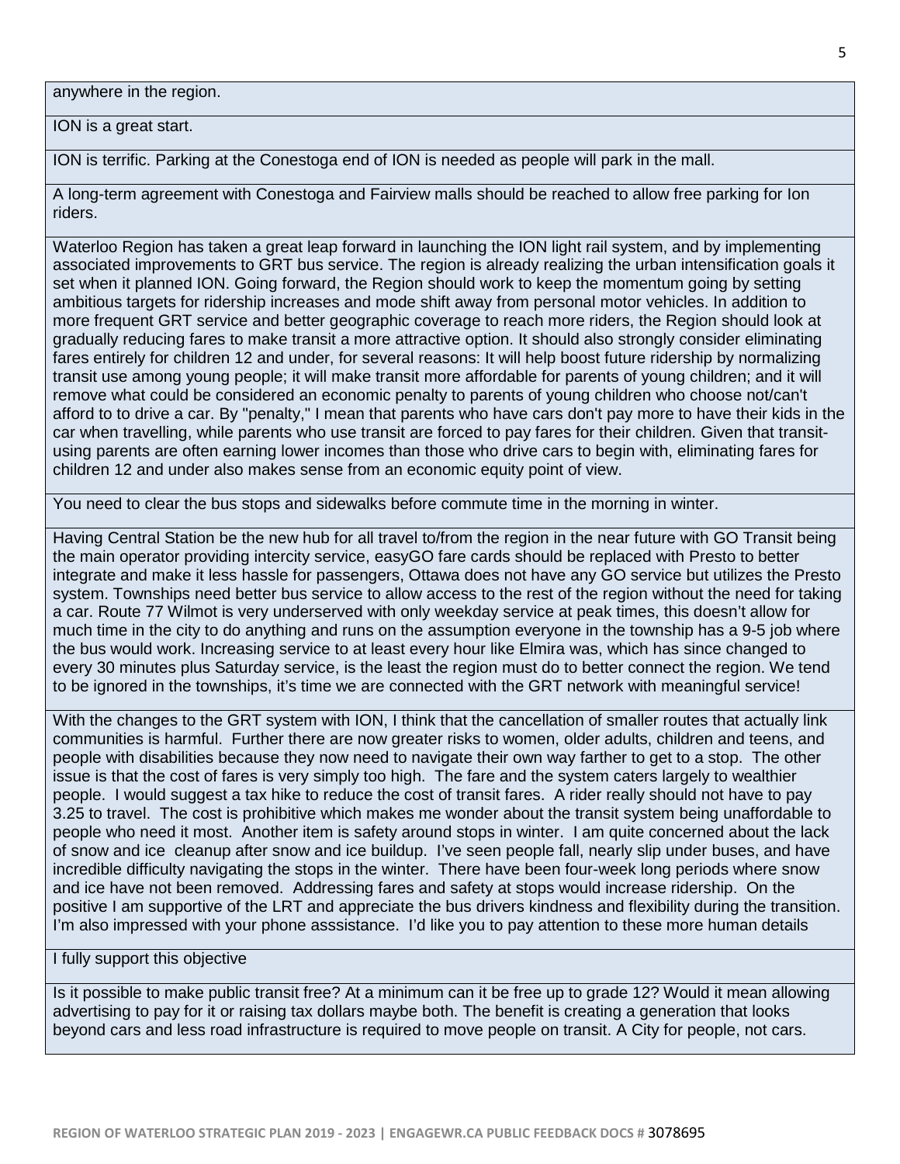anywhere in the region.

ION is a great start.

ION is terrific. Parking at the Conestoga end of ION is needed as people will park in the mall.

A long-term agreement with Conestoga and Fairview malls should be reached to allow free parking for Ion riders.

Waterloo Region has taken a great leap forward in launching the ION light rail system, and by implementing associated improvements to GRT bus service. The region is already realizing the urban intensification goals it set when it planned ION. Going forward, the Region should work to keep the momentum going by setting ambitious targets for ridership increases and mode shift away from personal motor vehicles. In addition to more frequent GRT service and better geographic coverage to reach more riders, the Region should look at gradually reducing fares to make transit a more attractive option. It should also strongly consider eliminating fares entirely for children 12 and under, for several reasons: It will help boost future ridership by normalizing transit use among young people; it will make transit more affordable for parents of young children; and it will remove what could be considered an economic penalty to parents of young children who choose not/can't afford to to drive a car. By "penalty," I mean that parents who have cars don't pay more to have their kids in the car when travelling, while parents who use transit are forced to pay fares for their children. Given that transitusing parents are often earning lower incomes than those who drive cars to begin with, eliminating fares for children 12 and under also makes sense from an economic equity point of view.

You need to clear the bus stops and sidewalks before commute time in the morning in winter.

Having Central Station be the new hub for all travel to/from the region in the near future with GO Transit being the main operator providing intercity service, easyGO fare cards should be replaced with Presto to better integrate and make it less hassle for passengers, Ottawa does not have any GO service but utilizes the Presto system. Townships need better bus service to allow access to the rest of the region without the need for taking a car. Route 77 Wilmot is very underserved with only weekday service at peak times, this doesn't allow for much time in the city to do anything and runs on the assumption everyone in the township has a 9-5 job where the bus would work. Increasing service to at least every hour like Elmira was, which has since changed to every 30 minutes plus Saturday service, is the least the region must do to better connect the region. We tend to be ignored in the townships, it's time we are connected with the GRT network with meaningful service!

With the changes to the GRT system with ION, I think that the cancellation of smaller routes that actually link communities is harmful. Further there are now greater risks to women, older adults, children and teens, and people with disabilities because they now need to navigate their own way farther to get to a stop. The other issue is that the cost of fares is very simply too high. The fare and the system caters largely to wealthier people. I would suggest a tax hike to reduce the cost of transit fares. A rider really should not have to pay 3.25 to travel. The cost is prohibitive which makes me wonder about the transit system being unaffordable to people who need it most. Another item is safety around stops in winter. I am quite concerned about the lack of snow and ice cleanup after snow and ice buildup. I've seen people fall, nearly slip under buses, and have incredible difficulty navigating the stops in the winter. There have been four-week long periods where snow and ice have not been removed. Addressing fares and safety at stops would increase ridership. On the positive I am supportive of the LRT and appreciate the bus drivers kindness and flexibility during the transition. I'm also impressed with your phone asssistance. I'd like you to pay attention to these more human details

#### I fully support this objective

Is it possible to make public transit free? At a minimum can it be free up to grade 12? Would it mean allowing advertising to pay for it or raising tax dollars maybe both. The benefit is creating a generation that looks beyond cars and less road infrastructure is required to move people on transit. A City for people, not cars.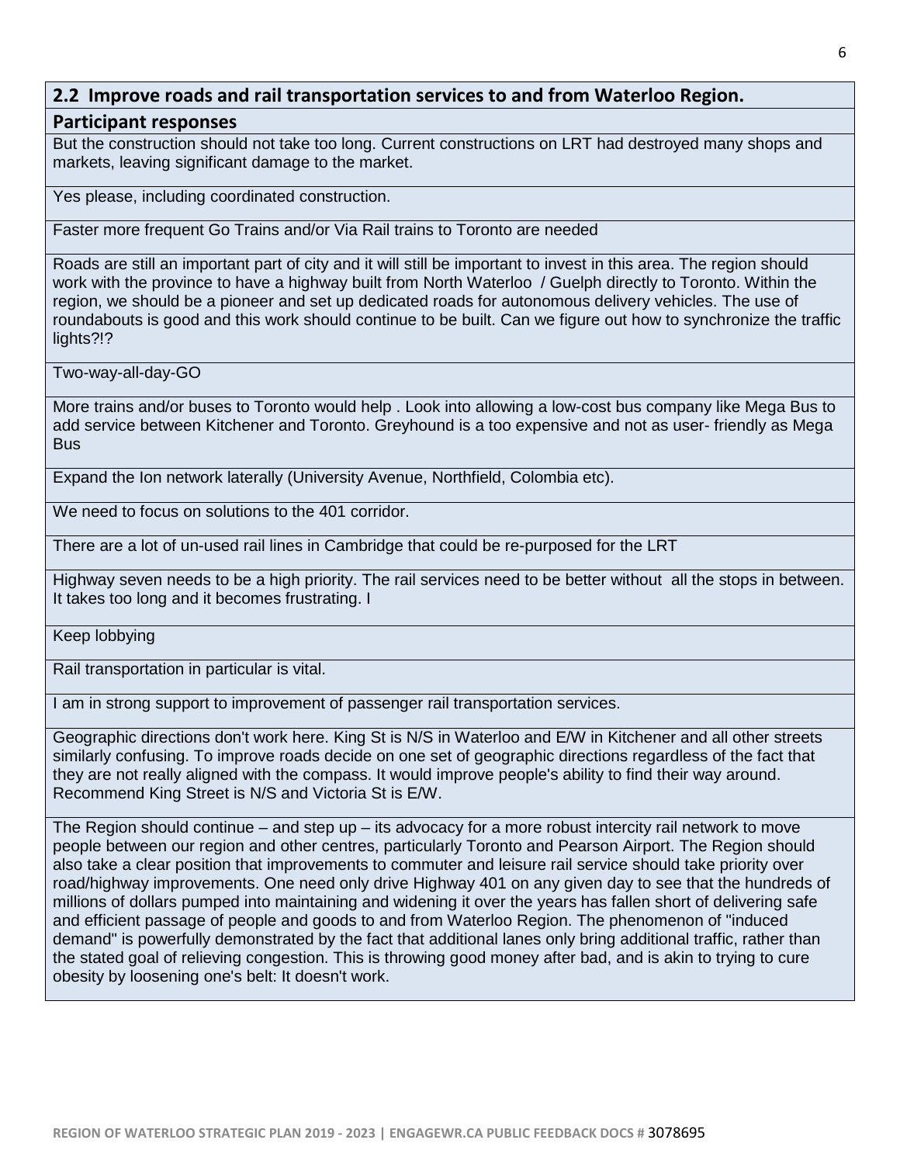### **2.2 Improve roads and rail transportation services to and from Waterloo Region.**

#### **Participant responses**

But the construction should not take too long. Current constructions on LRT had destroyed many shops and markets, leaving significant damage to the market.

Yes please, including coordinated construction.

Faster more frequent Go Trains and/or Via Rail trains to Toronto are needed

Roads are still an important part of city and it will still be important to invest in this area. The region should work with the province to have a highway built from North Waterloo / Guelph directly to Toronto. Within the region, we should be a pioneer and set up dedicated roads for autonomous delivery vehicles. The use of roundabouts is good and this work should continue to be built. Can we figure out how to synchronize the traffic lights?!?

Two-way-all-day-GO

More trains and/or buses to Toronto would help . Look into allowing a low-cost bus company like Mega Bus to add service between Kitchener and Toronto. Greyhound is a too expensive and not as user- friendly as Mega Bus

Expand the Ion network laterally (University Avenue, Northfield, Colombia etc).

We need to focus on solutions to the 401 corridor.

There are a lot of un-used rail lines in Cambridge that could be re-purposed for the LRT

Highway seven needs to be a high priority. The rail services need to be better without all the stops in between. It takes too long and it becomes frustrating. I

Keep lobbying

Rail transportation in particular is vital.

I am in strong support to improvement of passenger rail transportation services.

Geographic directions don't work here. King St is N/S in Waterloo and E/W in Kitchener and all other streets similarly confusing. To improve roads decide on one set of geographic directions regardless of the fact that they are not really aligned with the compass. It would improve people's ability to find their way around. Recommend King Street is N/S and Victoria St is E/W.

The Region should continue – and step up – its advocacy for a more robust intercity rail network to move people between our region and other centres, particularly Toronto and Pearson Airport. The Region should also take a clear position that improvements to commuter and leisure rail service should take priority over road/highway improvements. One need only drive Highway 401 on any given day to see that the hundreds of millions of dollars pumped into maintaining and widening it over the years has fallen short of delivering safe and efficient passage of people and goods to and from Waterloo Region. The phenomenon of "induced demand" is powerfully demonstrated by the fact that additional lanes only bring additional traffic, rather than the stated goal of relieving congestion. This is throwing good money after bad, and is akin to trying to cure obesity by loosening one's belt: It doesn't work.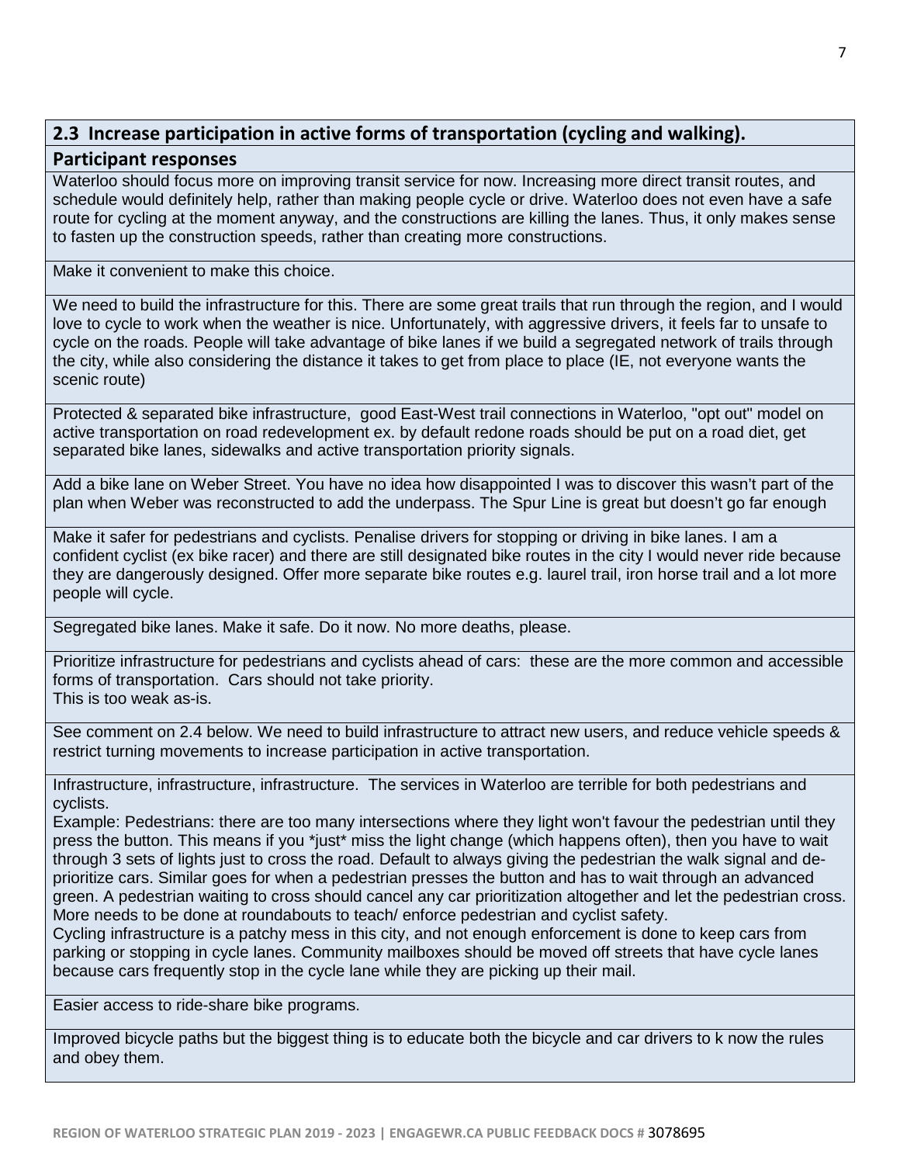## **2.3 Increase participation in active forms of transportation (cycling and walking).**

#### **Participant responses**

Waterloo should focus more on improving transit service for now. Increasing more direct transit routes, and schedule would definitely help, rather than making people cycle or drive. Waterloo does not even have a safe route for cycling at the moment anyway, and the constructions are killing the lanes. Thus, it only makes sense to fasten up the construction speeds, rather than creating more constructions.

Make it convenient to make this choice.

We need to build the infrastructure for this. There are some great trails that run through the region, and I would love to cycle to work when the weather is nice. Unfortunately, with aggressive drivers, it feels far to unsafe to cycle on the roads. People will take advantage of bike lanes if we build a segregated network of trails through the city, while also considering the distance it takes to get from place to place (IE, not everyone wants the scenic route)

Protected & separated bike infrastructure, good East-West trail connections in Waterloo, "opt out" model on active transportation on road redevelopment ex. by default redone roads should be put on a road diet, get separated bike lanes, sidewalks and active transportation priority signals.

Add a bike lane on Weber Street. You have no idea how disappointed I was to discover this wasn't part of the plan when Weber was reconstructed to add the underpass. The Spur Line is great but doesn't go far enough

Make it safer for pedestrians and cyclists. Penalise drivers for stopping or driving in bike lanes. I am a confident cyclist (ex bike racer) and there are still designated bike routes in the city I would never ride because they are dangerously designed. Offer more separate bike routes e.g. laurel trail, iron horse trail and a lot more people will cycle.

Segregated bike lanes. Make it safe. Do it now. No more deaths, please.

Prioritize infrastructure for pedestrians and cyclists ahead of cars: these are the more common and accessible forms of transportation. Cars should not take priority. This is too weak as-is.

See comment on 2.4 below. We need to build infrastructure to attract new users, and reduce vehicle speeds & restrict turning movements to increase participation in active transportation.

Infrastructure, infrastructure, infrastructure. The services in Waterloo are terrible for both pedestrians and cyclists.

Example: Pedestrians: there are too many intersections where they light won't favour the pedestrian until they press the button. This means if you \*just\* miss the light change (which happens often), then you have to wait through 3 sets of lights just to cross the road. Default to always giving the pedestrian the walk signal and deprioritize cars. Similar goes for when a pedestrian presses the button and has to wait through an advanced green. A pedestrian waiting to cross should cancel any car prioritization altogether and let the pedestrian cross. More needs to be done at roundabouts to teach/ enforce pedestrian and cyclist safety.

Cycling infrastructure is a patchy mess in this city, and not enough enforcement is done to keep cars from parking or stopping in cycle lanes. Community mailboxes should be moved off streets that have cycle lanes because cars frequently stop in the cycle lane while they are picking up their mail.

Easier access to ride-share bike programs.

Improved bicycle paths but the biggest thing is to educate both the bicycle and car drivers to k now the rules and obey them.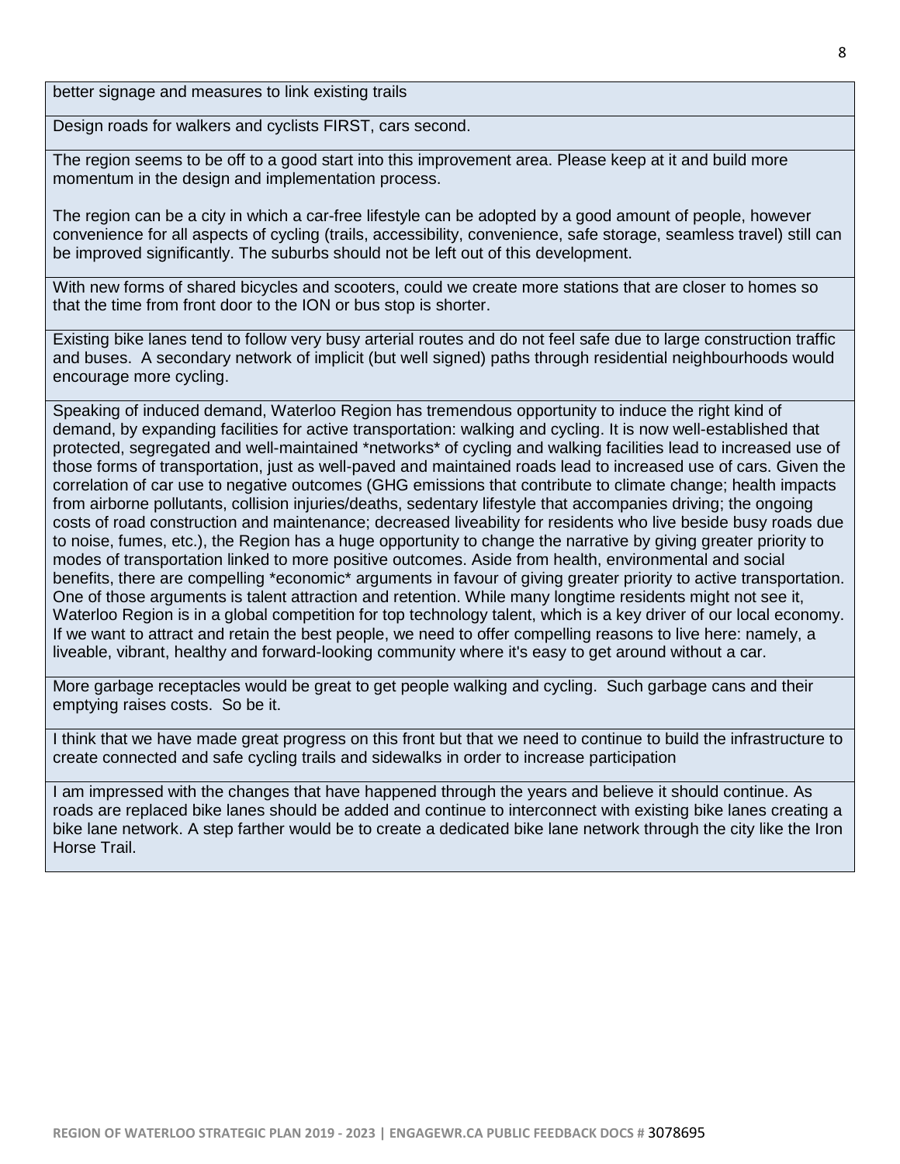better signage and measures to link existing trails

Design roads for walkers and cyclists FIRST, cars second.

The region seems to be off to a good start into this improvement area. Please keep at it and build more momentum in the design and implementation process.

The region can be a city in which a car-free lifestyle can be adopted by a good amount of people, however convenience for all aspects of cycling (trails, accessibility, convenience, safe storage, seamless travel) still can be improved significantly. The suburbs should not be left out of this development.

With new forms of shared bicycles and scooters, could we create more stations that are closer to homes so that the time from front door to the ION or bus stop is shorter.

Existing bike lanes tend to follow very busy arterial routes and do not feel safe due to large construction traffic and buses. A secondary network of implicit (but well signed) paths through residential neighbourhoods would encourage more cycling.

Speaking of induced demand, Waterloo Region has tremendous opportunity to induce the right kind of demand, by expanding facilities for active transportation: walking and cycling. It is now well-established that protected, segregated and well-maintained \*networks\* of cycling and walking facilities lead to increased use of those forms of transportation, just as well-paved and maintained roads lead to increased use of cars. Given the correlation of car use to negative outcomes (GHG emissions that contribute to climate change; health impacts from airborne pollutants, collision injuries/deaths, sedentary lifestyle that accompanies driving; the ongoing costs of road construction and maintenance; decreased liveability for residents who live beside busy roads due to noise, fumes, etc.), the Region has a huge opportunity to change the narrative by giving greater priority to modes of transportation linked to more positive outcomes. Aside from health, environmental and social benefits, there are compelling \*economic\* arguments in favour of giving greater priority to active transportation. One of those arguments is talent attraction and retention. While many longtime residents might not see it, Waterloo Region is in a global competition for top technology talent, which is a key driver of our local economy. If we want to attract and retain the best people, we need to offer compelling reasons to live here: namely, a liveable, vibrant, healthy and forward-looking community where it's easy to get around without a car.

More garbage receptacles would be great to get people walking and cycling. Such garbage cans and their emptying raises costs. So be it.

I think that we have made great progress on this front but that we need to continue to build the infrastructure to create connected and safe cycling trails and sidewalks in order to increase participation

I am impressed with the changes that have happened through the years and believe it should continue. As roads are replaced bike lanes should be added and continue to interconnect with existing bike lanes creating a bike lane network. A step farther would be to create a dedicated bike lane network through the city like the Iron Horse Trail.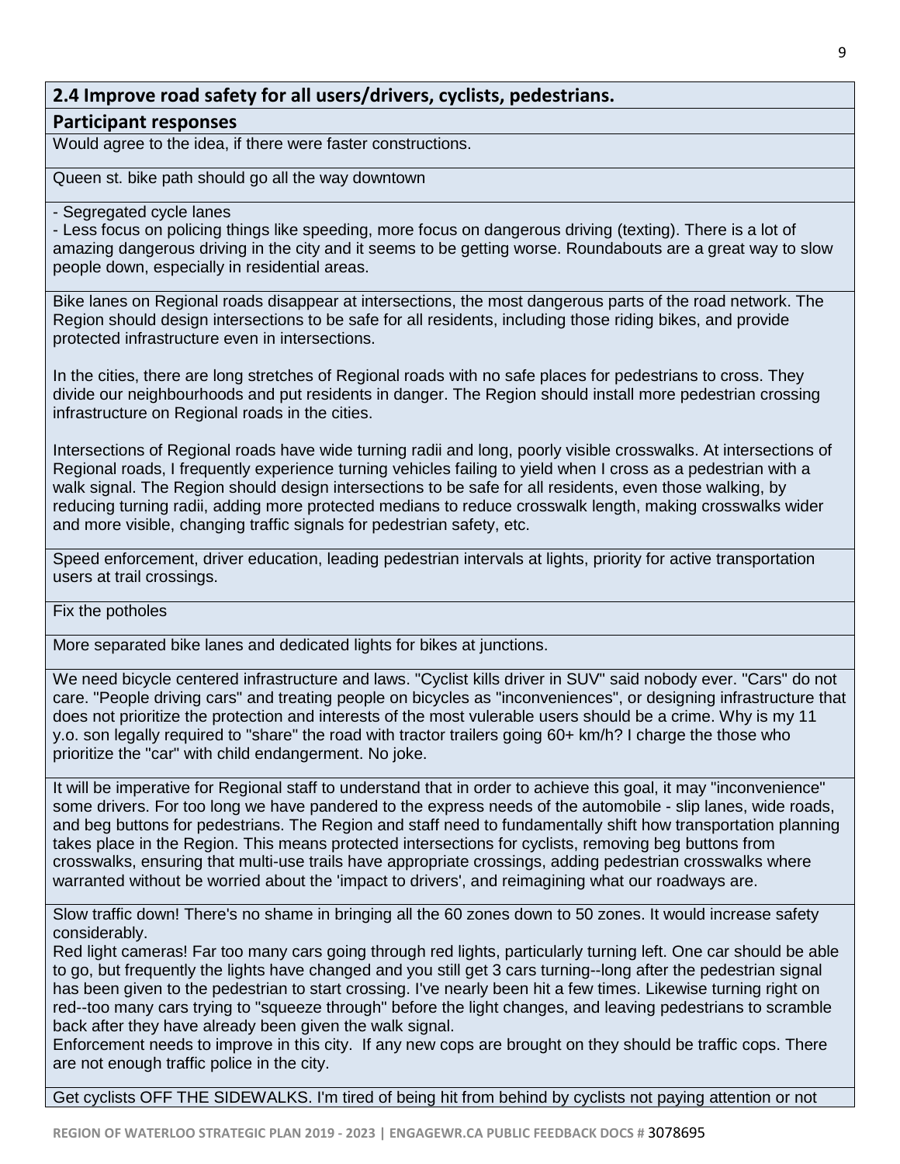## **2.4 Improve road safety for all users/drivers, cyclists, pedestrians.**

#### **Participant responses**

Would agree to the idea, if there were faster constructions.

Queen st. bike path should go all the way downtown

#### - Segregated cycle lanes

- Less focus on policing things like speeding, more focus on dangerous driving (texting). There is a lot of amazing dangerous driving in the city and it seems to be getting worse. Roundabouts are a great way to slow people down, especially in residential areas.

Bike lanes on Regional roads disappear at intersections, the most dangerous parts of the road network. The Region should design intersections to be safe for all residents, including those riding bikes, and provide protected infrastructure even in intersections.

In the cities, there are long stretches of Regional roads with no safe places for pedestrians to cross. They divide our neighbourhoods and put residents in danger. The Region should install more pedestrian crossing infrastructure on Regional roads in the cities.

Intersections of Regional roads have wide turning radii and long, poorly visible crosswalks. At intersections of Regional roads, I frequently experience turning vehicles failing to yield when I cross as a pedestrian with a walk signal. The Region should design intersections to be safe for all residents, even those walking, by reducing turning radii, adding more protected medians to reduce crosswalk length, making crosswalks wider and more visible, changing traffic signals for pedestrian safety, etc.

Speed enforcement, driver education, leading pedestrian intervals at lights, priority for active transportation users at trail crossings.

#### Fix the potholes

More separated bike lanes and dedicated lights for bikes at junctions.

We need bicycle centered infrastructure and laws. "Cyclist kills driver in SUV" said nobody ever. "Cars" do not care. "People driving cars" and treating people on bicycles as "inconveniences", or designing infrastructure that does not prioritize the protection and interests of the most vulerable users should be a crime. Why is my 11 y.o. son legally required to "share" the road with tractor trailers going 60+ km/h? I charge the those who prioritize the "car" with child endangerment. No joke.

It will be imperative for Regional staff to understand that in order to achieve this goal, it may "inconvenience" some drivers. For too long we have pandered to the express needs of the automobile - slip lanes, wide roads, and beg buttons for pedestrians. The Region and staff need to fundamentally shift how transportation planning takes place in the Region. This means protected intersections for cyclists, removing beg buttons from crosswalks, ensuring that multi-use trails have appropriate crossings, adding pedestrian crosswalks where warranted without be worried about the 'impact to drivers', and reimagining what our roadways are.

Slow traffic down! There's no shame in bringing all the 60 zones down to 50 zones. It would increase safety considerably.

Red light cameras! Far too many cars going through red lights, particularly turning left. One car should be able to go, but frequently the lights have changed and you still get 3 cars turning--long after the pedestrian signal has been given to the pedestrian to start crossing. I've nearly been hit a few times. Likewise turning right on red--too many cars trying to "squeeze through" before the light changes, and leaving pedestrians to scramble back after they have already been given the walk signal.

Enforcement needs to improve in this city. If any new cops are brought on they should be traffic cops. There are not enough traffic police in the city.

Get cyclists OFF THE SIDEWALKS. I'm tired of being hit from behind by cyclists not paying attention or not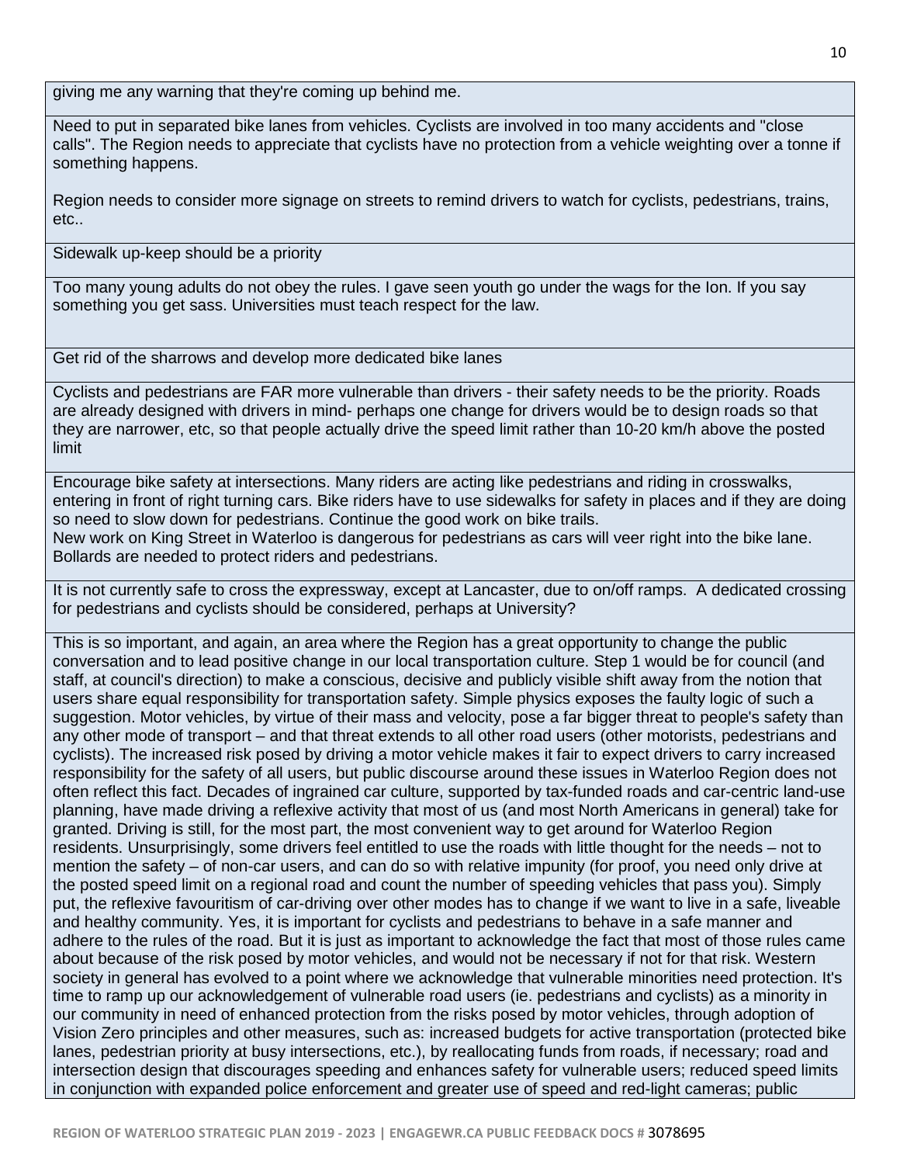giving me any warning that they're coming up behind me.

Need to put in separated bike lanes from vehicles. Cyclists are involved in too many accidents and "close calls". The Region needs to appreciate that cyclists have no protection from a vehicle weighting over a tonne if something happens.

Region needs to consider more signage on streets to remind drivers to watch for cyclists, pedestrians, trains, etc..

Sidewalk up-keep should be a priority

Too many young adults do not obey the rules. I gave seen youth go under the wags for the Ion. If you say something you get sass. Universities must teach respect for the law.

Get rid of the sharrows and develop more dedicated bike lanes

Cyclists and pedestrians are FAR more vulnerable than drivers - their safety needs to be the priority. Roads are already designed with drivers in mind- perhaps one change for drivers would be to design roads so that they are narrower, etc, so that people actually drive the speed limit rather than 10-20 km/h above the posted limit

Encourage bike safety at intersections. Many riders are acting like pedestrians and riding in crosswalks, entering in front of right turning cars. Bike riders have to use sidewalks for safety in places and if they are doing so need to slow down for pedestrians. Continue the good work on bike trails.

New work on King Street in Waterloo is dangerous for pedestrians as cars will veer right into the bike lane. Bollards are needed to protect riders and pedestrians.

It is not currently safe to cross the expressway, except at Lancaster, due to on/off ramps. A dedicated crossing for pedestrians and cyclists should be considered, perhaps at University?

This is so important, and again, an area where the Region has a great opportunity to change the public conversation and to lead positive change in our local transportation culture. Step 1 would be for council (and staff, at council's direction) to make a conscious, decisive and publicly visible shift away from the notion that users share equal responsibility for transportation safety. Simple physics exposes the faulty logic of such a suggestion. Motor vehicles, by virtue of their mass and velocity, pose a far bigger threat to people's safety than any other mode of transport – and that threat extends to all other road users (other motorists, pedestrians and cyclists). The increased risk posed by driving a motor vehicle makes it fair to expect drivers to carry increased responsibility for the safety of all users, but public discourse around these issues in Waterloo Region does not often reflect this fact. Decades of ingrained car culture, supported by tax-funded roads and car-centric land-use planning, have made driving a reflexive activity that most of us (and most North Americans in general) take for granted. Driving is still, for the most part, the most convenient way to get around for Waterloo Region residents. Unsurprisingly, some drivers feel entitled to use the roads with little thought for the needs – not to mention the safety – of non-car users, and can do so with relative impunity (for proof, you need only drive at the posted speed limit on a regional road and count the number of speeding vehicles that pass you). Simply put, the reflexive favouritism of car-driving over other modes has to change if we want to live in a safe, liveable and healthy community. Yes, it is important for cyclists and pedestrians to behave in a safe manner and adhere to the rules of the road. But it is just as important to acknowledge the fact that most of those rules came about because of the risk posed by motor vehicles, and would not be necessary if not for that risk. Western society in general has evolved to a point where we acknowledge that vulnerable minorities need protection. It's time to ramp up our acknowledgement of vulnerable road users (ie. pedestrians and cyclists) as a minority in our community in need of enhanced protection from the risks posed by motor vehicles, through adoption of Vision Zero principles and other measures, such as: increased budgets for active transportation (protected bike lanes, pedestrian priority at busy intersections, etc.), by reallocating funds from roads, if necessary; road and intersection design that discourages speeding and enhances safety for vulnerable users; reduced speed limits in conjunction with expanded police enforcement and greater use of speed and red-light cameras; public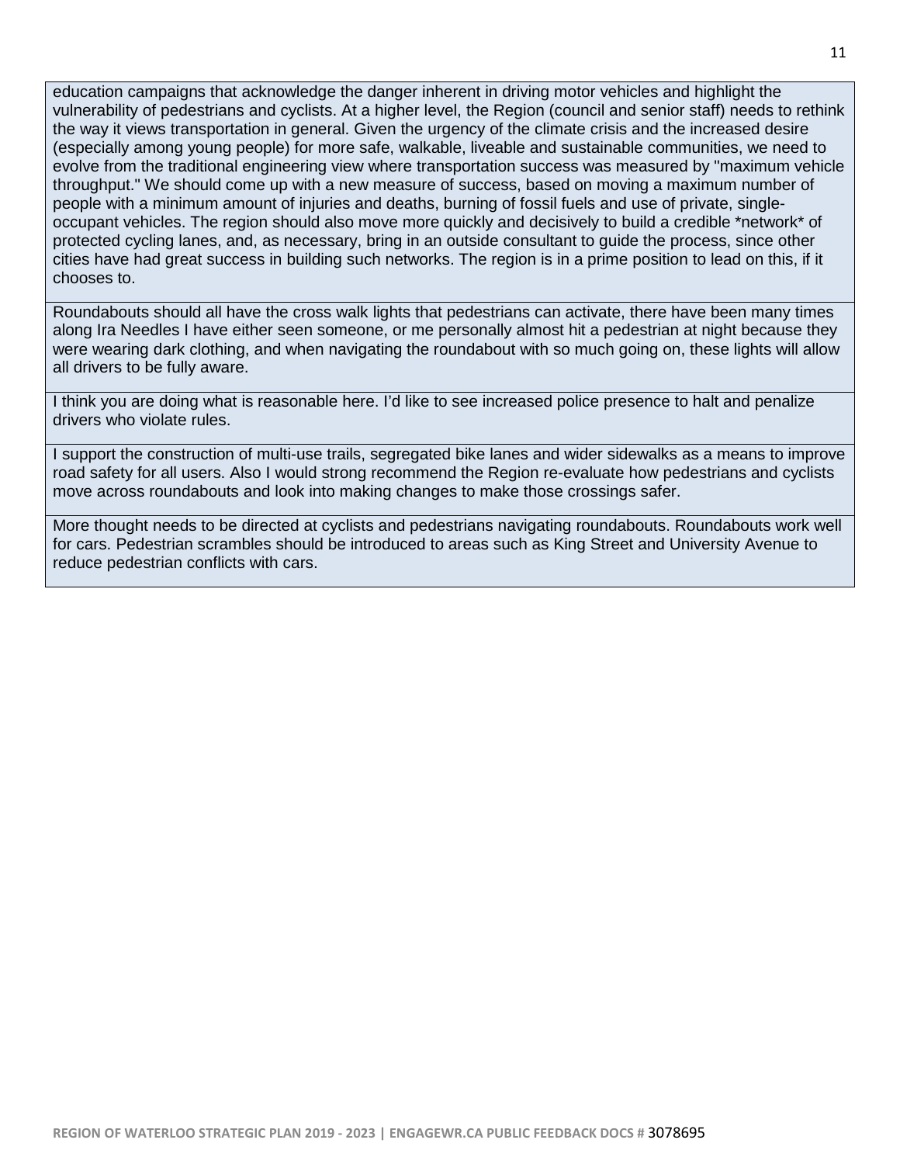education campaigns that acknowledge the danger inherent in driving motor vehicles and highlight the vulnerability of pedestrians and cyclists. At a higher level, the Region (council and senior staff) needs to rethink the way it views transportation in general. Given the urgency of the climate crisis and the increased desire (especially among young people) for more safe, walkable, liveable and sustainable communities, we need to evolve from the traditional engineering view where transportation success was measured by "maximum vehicle throughput." We should come up with a new measure of success, based on moving a maximum number of people with a minimum amount of injuries and deaths, burning of fossil fuels and use of private, singleoccupant vehicles. The region should also move more quickly and decisively to build a credible \*network\* of protected cycling lanes, and, as necessary, bring in an outside consultant to guide the process, since other cities have had great success in building such networks. The region is in a prime position to lead on this, if it chooses to.

Roundabouts should all have the cross walk lights that pedestrians can activate, there have been many times along Ira Needles I have either seen someone, or me personally almost hit a pedestrian at night because they were wearing dark clothing, and when navigating the roundabout with so much going on, these lights will allow all drivers to be fully aware.

I think you are doing what is reasonable here. I'd like to see increased police presence to halt and penalize drivers who violate rules.

I support the construction of multi-use trails, segregated bike lanes and wider sidewalks as a means to improve road safety for all users. Also I would strong recommend the Region re-evaluate how pedestrians and cyclists move across roundabouts and look into making changes to make those crossings safer.

More thought needs to be directed at cyclists and pedestrians navigating roundabouts. Roundabouts work well for cars. Pedestrian scrambles should be introduced to areas such as King Street and University Avenue to reduce pedestrian conflicts with cars.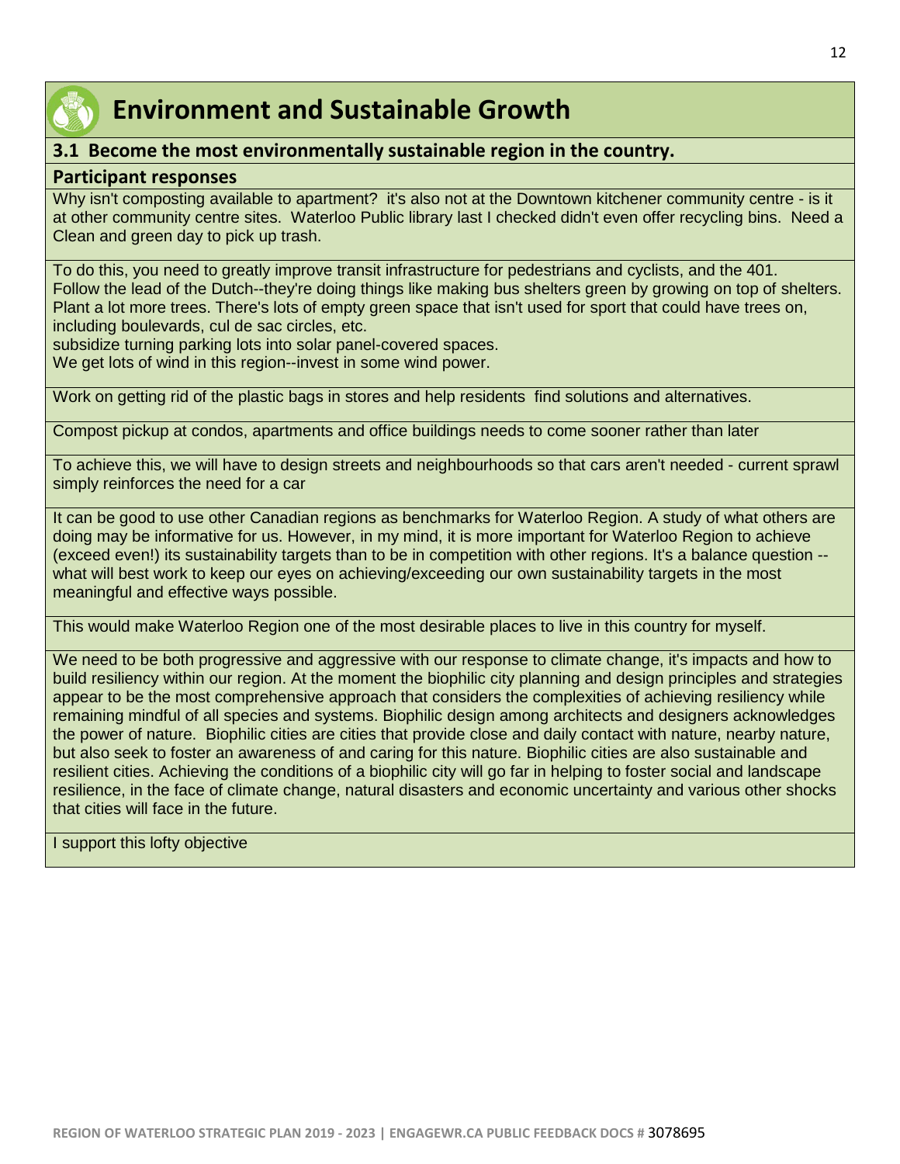

## **Environment and Sustainable Growth**

## **3.1 Become the most environmentally sustainable region in the country.**

#### **Participant responses**

Why isn't composting available to apartment? it's also not at the Downtown kitchener community centre - is it at other community centre sites. Waterloo Public library last I checked didn't even offer recycling bins. Need a Clean and green day to pick up trash.

To do this, you need to greatly improve transit infrastructure for pedestrians and cyclists, and the 401. Follow the lead of the Dutch--they're doing things like making bus shelters green by growing on top of shelters. Plant a lot more trees. There's lots of empty green space that isn't used for sport that could have trees on, including boulevards, cul de sac circles, etc.

subsidize turning parking lots into solar panel-covered spaces.

We get lots of wind in this region--invest in some wind power.

Work on getting rid of the plastic bags in stores and help residents find solutions and alternatives.

Compost pickup at condos, apartments and office buildings needs to come sooner rather than later

To achieve this, we will have to design streets and neighbourhoods so that cars aren't needed - current sprawl simply reinforces the need for a car

It can be good to use other Canadian regions as benchmarks for Waterloo Region. A study of what others are doing may be informative for us. However, in my mind, it is more important for Waterloo Region to achieve (exceed even!) its sustainability targets than to be in competition with other regions. It's a balance question - what will best work to keep our eyes on achieving/exceeding our own sustainability targets in the most meaningful and effective ways possible.

This would make Waterloo Region one of the most desirable places to live in this country for myself.

We need to be both progressive and aggressive with our response to climate change, it's impacts and how to build resiliency within our region. At the moment the biophilic city planning and design principles and strategies appear to be the most comprehensive approach that considers the complexities of achieving resiliency while remaining mindful of all species and systems. Biophilic design among architects and designers acknowledges the power of nature. Biophilic cities are cities that provide close and daily contact with nature, nearby nature, but also seek to foster an awareness of and caring for this nature. Biophilic cities are also sustainable and resilient cities. Achieving the conditions of a biophilic city will go far in helping to foster social and landscape resilience, in the face of climate change, natural disasters and economic uncertainty and various other shocks that cities will face in the future.

I support this lofty objective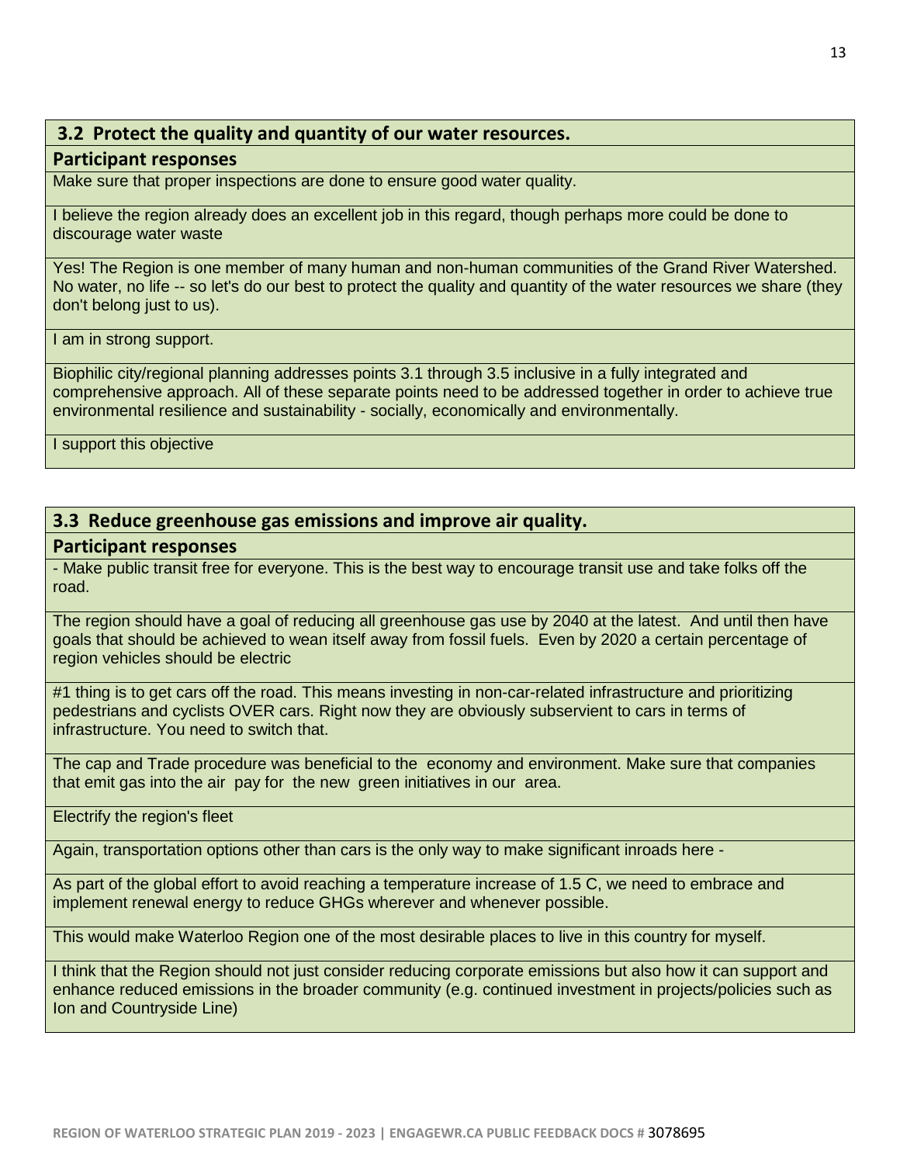### **3.2 Protect the quality and quantity of our water resources.**

#### **Participant responses**

Make sure that proper inspections are done to ensure good water quality.

I believe the region already does an excellent job in this regard, though perhaps more could be done to discourage water waste

Yes! The Region is one member of many human and non-human communities of the Grand River Watershed. No water, no life -- so let's do our best to protect the quality and quantity of the water resources we share (they don't belong just to us).

I am in strong support.

Biophilic city/regional planning addresses points 3.1 through 3.5 inclusive in a fully integrated and comprehensive approach. All of these separate points need to be addressed together in order to achieve true environmental resilience and sustainability - socially, economically and environmentally.

I support this objective

#### **3.3 Reduce greenhouse gas emissions and improve air quality.**

#### **Participant responses**

- Make public transit free for everyone. This is the best way to encourage transit use and take folks off the road.

The region should have a goal of reducing all greenhouse gas use by 2040 at the latest. And until then have goals that should be achieved to wean itself away from fossil fuels. Even by 2020 a certain percentage of region vehicles should be electric

#1 thing is to get cars off the road. This means investing in non-car-related infrastructure and prioritizing pedestrians and cyclists OVER cars. Right now they are obviously subservient to cars in terms of infrastructure. You need to switch that.

The cap and Trade procedure was beneficial to the economy and environment. Make sure that companies that emit gas into the air pay for the new green initiatives in our area.

Electrify the region's fleet

Again, transportation options other than cars is the only way to make significant inroads here -

As part of the global effort to avoid reaching a temperature increase of 1.5 C, we need to embrace and implement renewal energy to reduce GHGs wherever and whenever possible.

This would make Waterloo Region one of the most desirable places to live in this country for myself.

I think that the Region should not just consider reducing corporate emissions but also how it can support and enhance reduced emissions in the broader community (e.g. continued investment in projects/policies such as Ion and Countryside Line)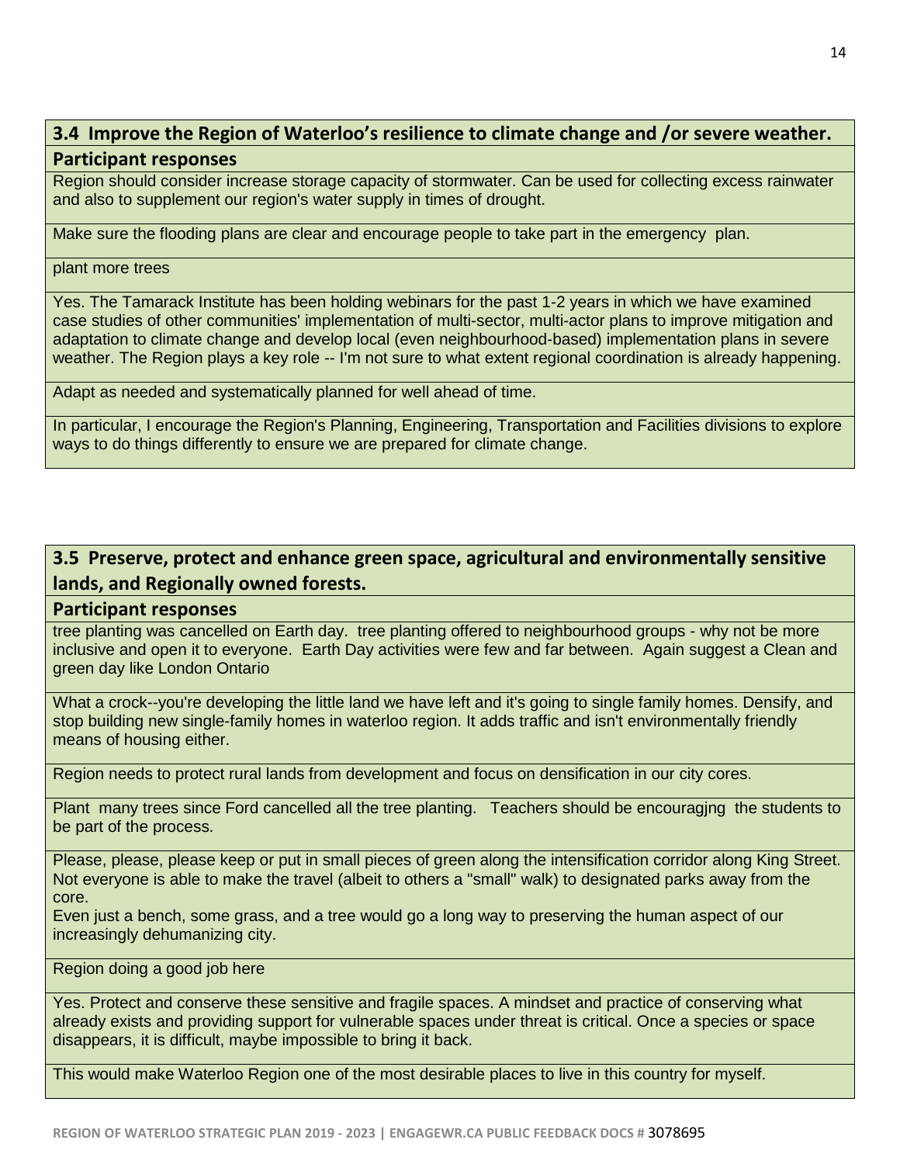## **3.4 Improve the Region of Waterloo's resilience to climate change and /or severe weather. Participant responses**

Region should consider increase storage capacity of stormwater. Can be used for collecting excess rainwater and also to supplement our region's water supply in times of drought.

Make sure the flooding plans are clear and encourage people to take part in the emergency plan.

#### plant more trees

Yes. The Tamarack Institute has been holding webinars for the past 1-2 years in which we have examined case studies of other communities' implementation of multi-sector, multi-actor plans to improve mitigation and adaptation to climate change and develop local (even neighbourhood-based) implementation plans in severe weather. The Region plays a key role -- I'm not sure to what extent regional coordination is already happening.

Adapt as needed and systematically planned for well ahead of time.

In particular, I encourage the Region's Planning, Engineering, Transportation and Facilities divisions to explore ways to do things differently to ensure we are prepared for climate change.

## **3.5 Preserve, protect and enhance green space, agricultural and environmentally sensitive lands, and Regionally owned forests.**

#### **Participant responses**

tree planting was cancelled on Earth day. tree planting offered to neighbourhood groups - why not be more inclusive and open it to everyone. Earth Day activities were few and far between. Again suggest a Clean and green day like London Ontario

What a crock--you're developing the little land we have left and it's going to single family homes. Densify, and stop building new single-family homes in waterloo region. It adds traffic and isn't environmentally friendly means of housing either.

Region needs to protect rural lands from development and focus on densification in our city cores.

Plant many trees since Ford cancelled all the tree planting. Teachers should be encouragjng the students to be part of the process.

Please, please, please keep or put in small pieces of green along the intensification corridor along King Street. Not everyone is able to make the travel (albeit to others a "small" walk) to designated parks away from the core.

Even just a bench, some grass, and a tree would go a long way to preserving the human aspect of our increasingly dehumanizing city.

Region doing a good job here

Yes. Protect and conserve these sensitive and fragile spaces. A mindset and practice of conserving what already exists and providing support for vulnerable spaces under threat is critical. Once a species or space disappears, it is difficult, maybe impossible to bring it back.

This would make Waterloo Region one of the most desirable places to live in this country for myself.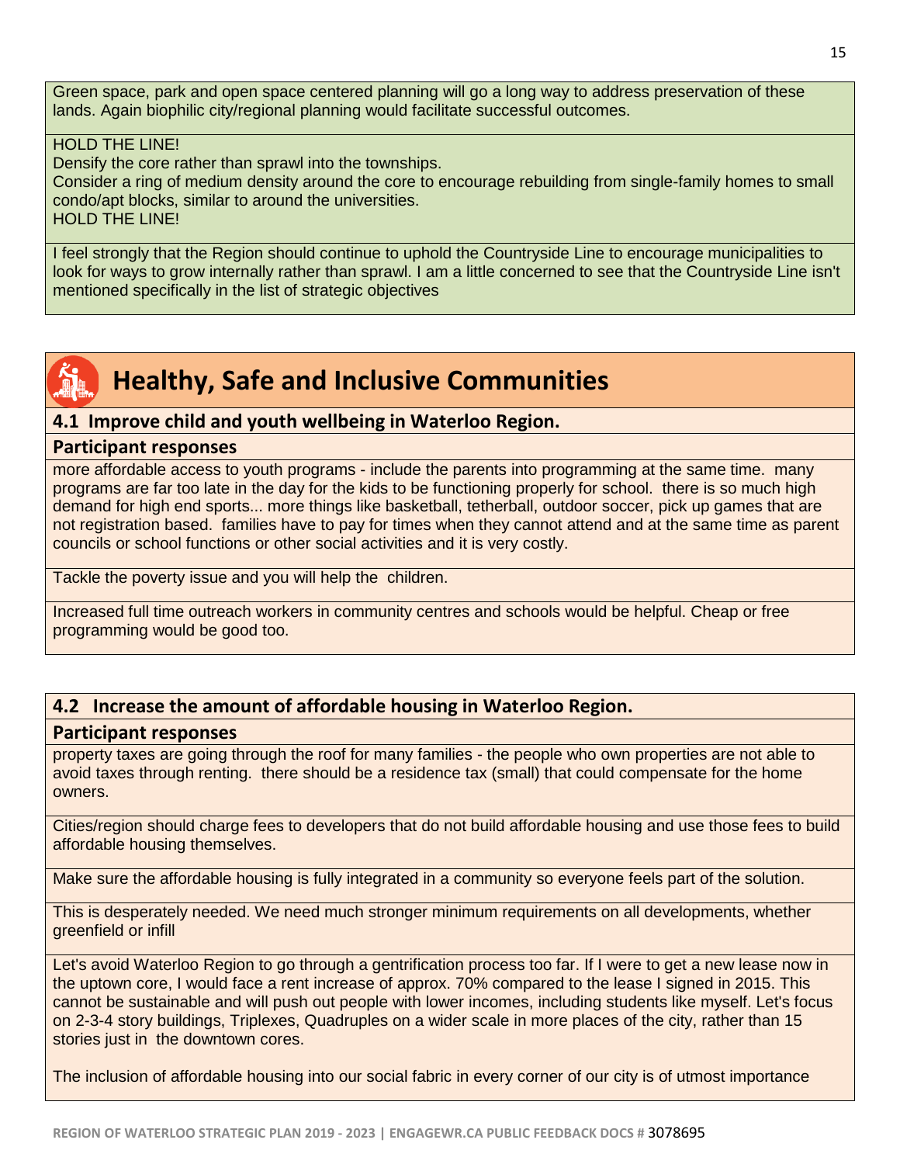Green space, park and open space centered planning will go a long way to address preservation of these lands. Again biophilic city/regional planning would facilitate successful outcomes.

#### HOLD THE LINE!

Densify the core rather than sprawl into the townships.

Consider a ring of medium density around the core to encourage rebuilding from single-family homes to small condo/apt blocks, similar to around the universities.

HOLD THE LINE!

I feel strongly that the Region should continue to uphold the Countryside Line to encourage municipalities to look for ways to grow internally rather than sprawl. I am a little concerned to see that the Countryside Line isn't mentioned specifically in the list of strategic objectives



## **Healthy, Safe and Inclusive Communities**

#### **4.1 Improve child and youth wellbeing in Waterloo Region.**

#### **Participant responses**

more affordable access to youth programs - include the parents into programming at the same time. many programs are far too late in the day for the kids to be functioning properly for school. there is so much high demand for high end sports... more things like basketball, tetherball, outdoor soccer, pick up games that are not registration based. families have to pay for times when they cannot attend and at the same time as parent councils or school functions or other social activities and it is very costly.

Tackle the poverty issue and you will help the children.

Increased full time outreach workers in community centres and schools would be helpful. Cheap or free programming would be good too.

### **4.2 Increase the amount of affordable housing in Waterloo Region.**

#### **Participant responses**

property taxes are going through the roof for many families - the people who own properties are not able to avoid taxes through renting. there should be a residence tax (small) that could compensate for the home owners.

Cities/region should charge fees to developers that do not build affordable housing and use those fees to build affordable housing themselves.

Make sure the affordable housing is fully integrated in a community so everyone feels part of the solution.

This is desperately needed. We need much stronger minimum requirements on all developments, whether greenfield or infill

Let's avoid Waterloo Region to go through a gentrification process too far. If I were to get a new lease now in the uptown core, I would face a rent increase of approx. 70% compared to the lease I signed in 2015. This cannot be sustainable and will push out people with lower incomes, including students like myself. Let's focus on 2-3-4 story buildings, Triplexes, Quadruples on a wider scale in more places of the city, rather than 15 stories just in the downtown cores.

The inclusion of affordable housing into our social fabric in every corner of our city is of utmost importance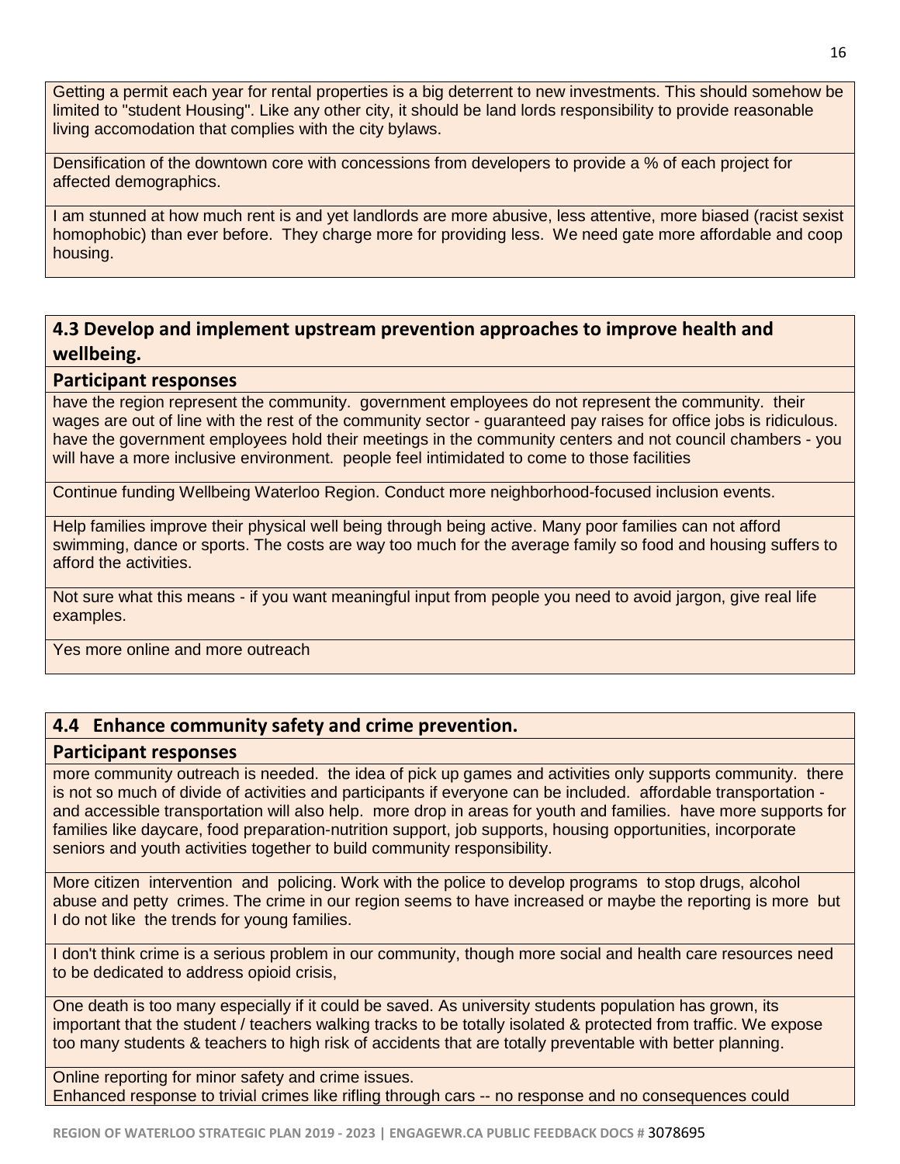Getting a permit each year for rental properties is a big deterrent to new investments. This should somehow be limited to "student Housing". Like any other city, it should be land lords responsibility to provide reasonable living accomodation that complies with the city bylaws.

Densification of the downtown core with concessions from developers to provide a % of each project for affected demographics.

I am stunned at how much rent is and yet landlords are more abusive, less attentive, more biased (racist sexist homophobic) than ever before. They charge more for providing less. We need gate more affordable and coop housing.

## **4.3 Develop and implement upstream prevention approaches to improve health and wellbeing.**

#### **Participant responses**

have the region represent the community. government employees do not represent the community. their wages are out of line with the rest of the community sector - guaranteed pay raises for office jobs is ridiculous. have the government employees hold their meetings in the community centers and not council chambers - you will have a more inclusive environment. people feel intimidated to come to those facilities

Continue funding Wellbeing Waterloo Region. Conduct more neighborhood-focused inclusion events.

Help families improve their physical well being through being active. Many poor families can not afford swimming, dance or sports. The costs are way too much for the average family so food and housing suffers to afford the activities.

Not sure what this means - if you want meaningful input from people you need to avoid jargon, give real life examples.

Yes more online and more outreach

### **4.4 Enhance community safety and crime prevention.**

#### **Participant responses**

more community outreach is needed. the idea of pick up games and activities only supports community. there is not so much of divide of activities and participants if everyone can be included. affordable transportation and accessible transportation will also help. more drop in areas for youth and families. have more supports for families like daycare, food preparation-nutrition support, job supports, housing opportunities, incorporate seniors and youth activities together to build community responsibility.

More citizen intervention and policing. Work with the police to develop programs to stop drugs, alcohol abuse and petty crimes. The crime in our region seems to have increased or maybe the reporting is more but I do not like the trends for young families.

I don't think crime is a serious problem in our community, though more social and health care resources need to be dedicated to address opioid crisis,

One death is too many especially if it could be saved. As university students population has grown, its important that the student / teachers walking tracks to be totally isolated & protected from traffic. We expose too many students & teachers to high risk of accidents that are totally preventable with better planning.

Online reporting for minor safety and crime issues. Enhanced response to trivial crimes like rifling through cars -- no response and no consequences could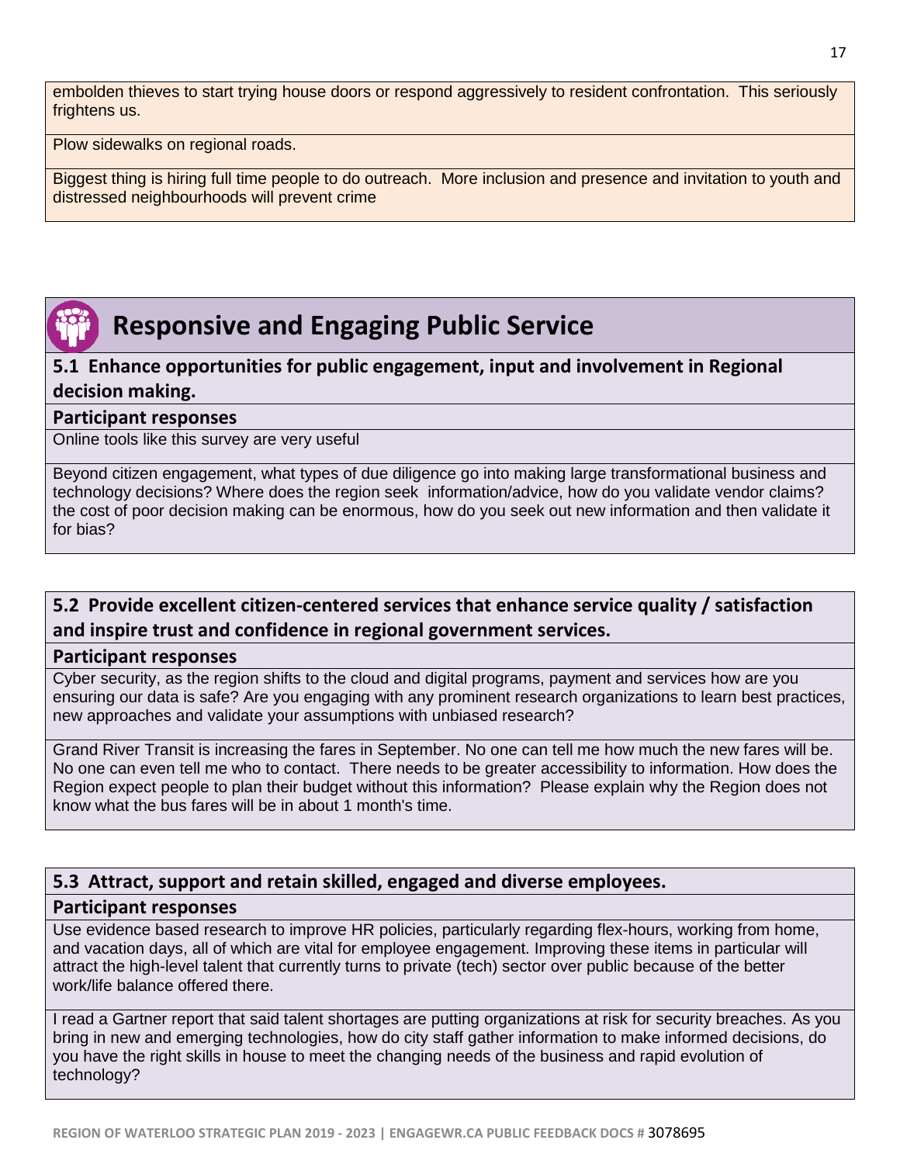embolden thieves to start trying house doors or respond aggressively to resident confrontation. This seriously frightens us.

Plow sidewalks on regional roads.

Biggest thing is hiring full time people to do outreach. More inclusion and presence and invitation to youth and distressed neighbourhoods will prevent crime

## **Responsive and Engaging Public Service**

## **5.1 Enhance opportunities for public engagement, input and involvement in Regional decision making.**

#### **Participant responses**

Online tools like this survey are very useful

Beyond citizen engagement, what types of due diligence go into making large transformational business and technology decisions? Where does the region seek information/advice, how do you validate vendor claims? the cost of poor decision making can be enormous, how do you seek out new information and then validate it for bias?

## **5.2 Provide excellent citizen-centered services that enhance service quality / satisfaction and inspire trust and confidence in regional government services.**

#### **Participant responses**

Cyber security, as the region shifts to the cloud and digital programs, payment and services how are you ensuring our data is safe? Are you engaging with any prominent research organizations to learn best practices, new approaches and validate your assumptions with unbiased research?

Grand River Transit is increasing the fares in September. No one can tell me how much the new fares will be. No one can even tell me who to contact. There needs to be greater accessibility to information. How does the Region expect people to plan their budget without this information? Please explain why the Region does not know what the bus fares will be in about 1 month's time.

## **5.3 Attract, support and retain skilled, engaged and diverse employees.**

#### **Participant responses**

Use evidence based research to improve HR policies, particularly regarding flex-hours, working from home, and vacation days, all of which are vital for employee engagement. Improving these items in particular will attract the high-level talent that currently turns to private (tech) sector over public because of the better work/life balance offered there.

I read a Gartner report that said talent shortages are putting organizations at risk for security breaches. As you bring in new and emerging technologies, how do city staff gather information to make informed decisions, do you have the right skills in house to meet the changing needs of the business and rapid evolution of technology?